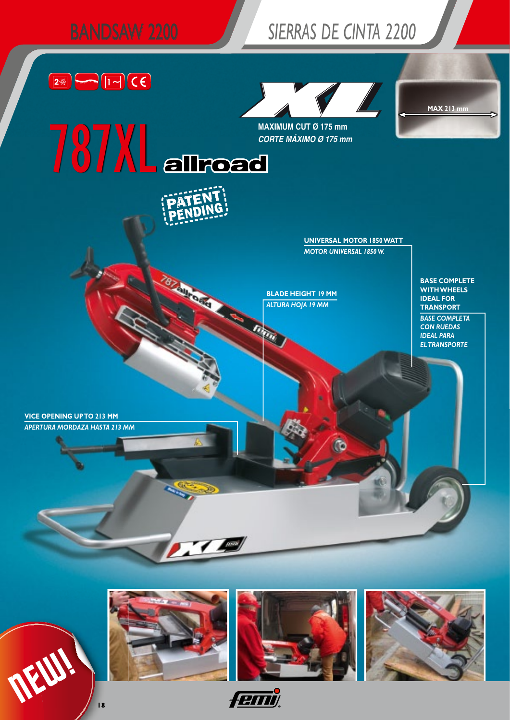